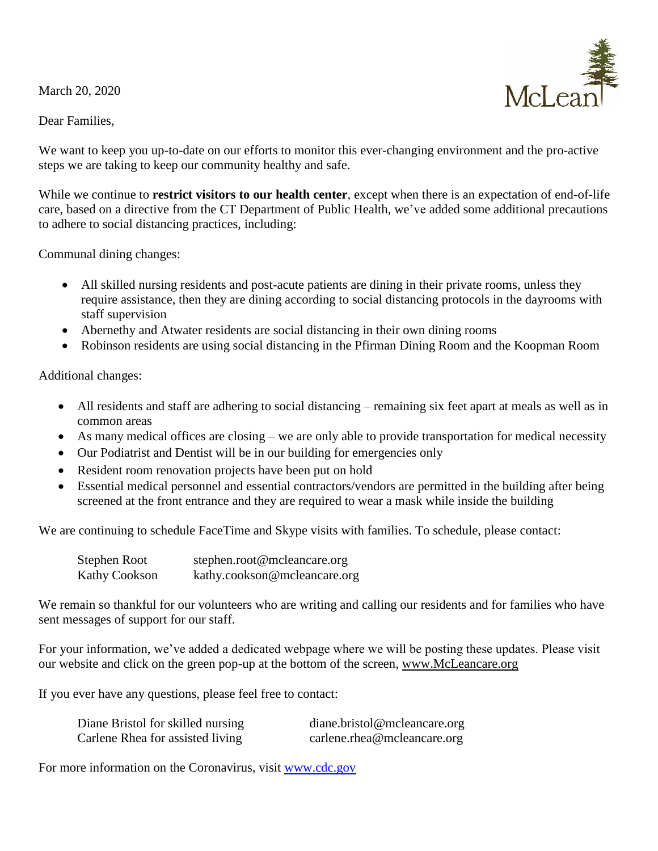March 20, 2020

## Dear Families,

 $McI$  exponent

We want to keep you up-to-date on our efforts to monitor this ever-changing environment and the pro-active steps we are taking to keep our community healthy and safe.

While we continue to **restrict visitors to our health center**, except when there is an expectation of end-of-life care, based on a directive from the CT Department of Public Health, we've added some additional precautions to adhere to social distancing practices, including:

Communal dining changes:

- All skilled nursing residents and post-acute patients are dining in their private rooms, unless they require assistance, then they are dining according to social distancing protocols in the dayrooms with staff supervision
- Abernethy and Atwater residents are social distancing in their own dining rooms
- Robinson residents are using social distancing in the Pfirman Dining Room and the Koopman Room

Additional changes:

- All residents and staff are adhering to social distancing remaining six feet apart at meals as well as in common areas
- As many medical offices are closing we are only able to provide transportation for medical necessity
- Our Podiatrist and Dentist will be in our building for emergencies only
- Resident room renovation projects have been put on hold
- Essential medical personnel and essential contractors/vendors are permitted in the building after being screened at the front entrance and they are required to wear a mask while inside the building

We are continuing to schedule FaceTime and Skype visits with families. To schedule, please contact:

| Stephen Root         | stephen.root@mcleancare.org  |
|----------------------|------------------------------|
| <b>Kathy Cookson</b> | kathy.cookson@mcleancare.org |

We remain so thankful for our volunteers who are writing and calling our residents and for families who have sent messages of support for our staff.

For your information, we've added a dedicated webpage where we will be posting these updates. Please visit our website and click on the green pop-up at the bottom of the screen, [www.McLeancare.org](http://www.mcleancare.org/)

If you ever have any questions, please feel free to contact:

| Diane Bristol for skilled nursing | diane.bristol@mcleancare.org |
|-----------------------------------|------------------------------|
| Carlene Rhea for assisted living  | carlene.rhea@mcleancare.org  |

For more information on the Coronavirus, visit [www.cdc.gov](http://www.cdc.gov/)